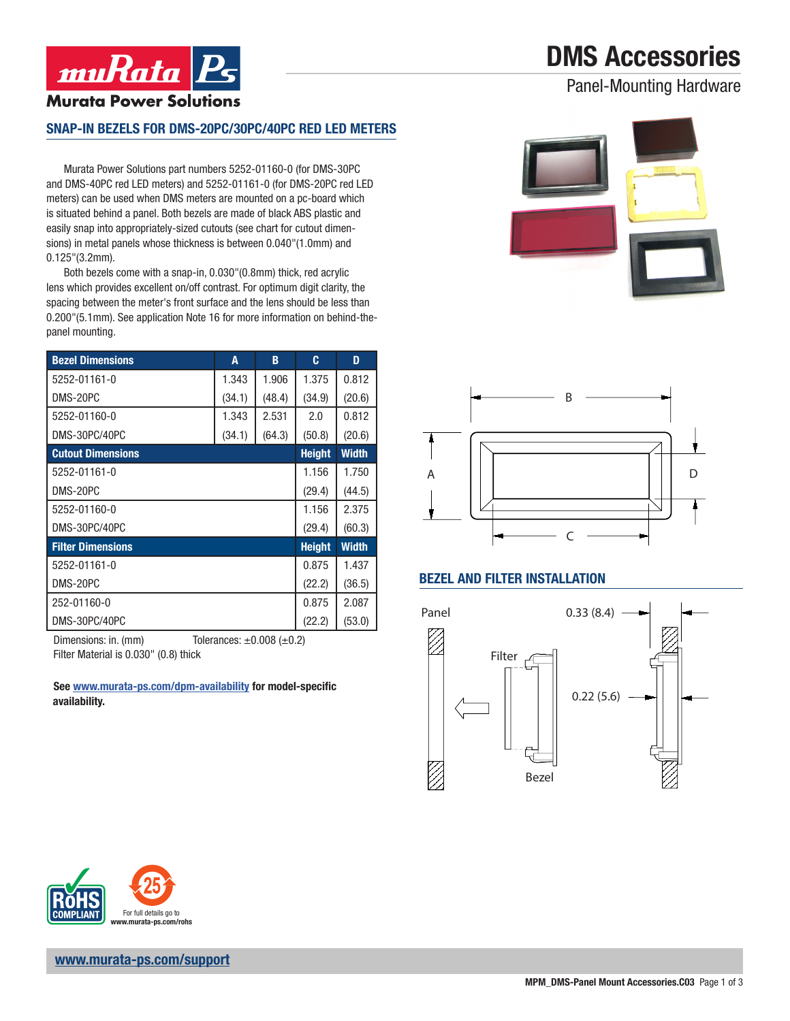# DMS Accessories

Panel-Mounting Hardware



#### SNAP-IN BEZELS FOR DMS-20PC/30PC/40PC RED LED METERS

Murata Power Solutions part numbers 5252-01160-0 (for DMS-30PC and DMS-40PC red LED meters) and 5252-01161-0 (for DMS-20PC red LED meters) can be used when DMS meters are mounted on a pc-board which is situated behind a panel. Both bezels are made of black ABS plastic and easily snap into appropriately-sized cutouts (see chart for cutout dimensions) in metal panels whose thickness is between 0.040"(1.0mm) and 0.125"(3.2mm).

Both bezels come with a snap-in, 0.030"(0.8mm) thick, red acrylic lens which provides excellent on/off contrast. For optimum digit clarity, the spacing between the meter's front surface and the lens should be less than 0.200"(5.1mm). See application Note 16 for more information on behind-thepanel mounting.

| <b>Bezel Dimensions</b>  | A      | B      | c             | D            |
|--------------------------|--------|--------|---------------|--------------|
| 5252-01161-0             | 1.343  | 1.906  | 1.375         | 0.812        |
| DMS-20PC                 | (34.1) | (48.4) | (34.9)        | (20.6)       |
| 5252-01160-0             | 1.343  | 2.531  | 2.0           | 0.812        |
| DMS-30PC/40PC            | (34.1) | (64.3) | (50.8)        | (20.6)       |
| <b>Cutout Dimensions</b> |        |        | <b>Height</b> | <b>Width</b> |
| 5252-01161-0             |        |        | 1.156         | 1.750        |
| DMS-20PC                 |        |        | (29.4)        | (44.5)       |
| 5252-01160-0             |        |        | 1.156         | 2.375        |
| DMS-30PC/40PC            |        |        | (29.4)        | (60.3)       |
| <b>Filter Dimensions</b> |        |        | <b>Height</b> | <b>Width</b> |
| 5252-01161-0             |        |        | 0.875         | 1.437        |
| DMS-20PC                 |        |        | (22.2)        | (36.5)       |
| 252-01160-0              |        |        | 0.875         | 2.087        |
| DMS-30PC/40PC            |        |        | (22.2)        | (53.0)       |

Dimensions: in. (mm)  $\qquad \qquad$  Tolerances:  $\pm 0.008$  ( $\pm 0.2$ ) Filter Material is 0.030" (0.8) thick

See www.murata-ps.com/dpm-availability for model-specific availability.





### BEZEL AND FILTER INSTALLATION







www.murata-ps.com/support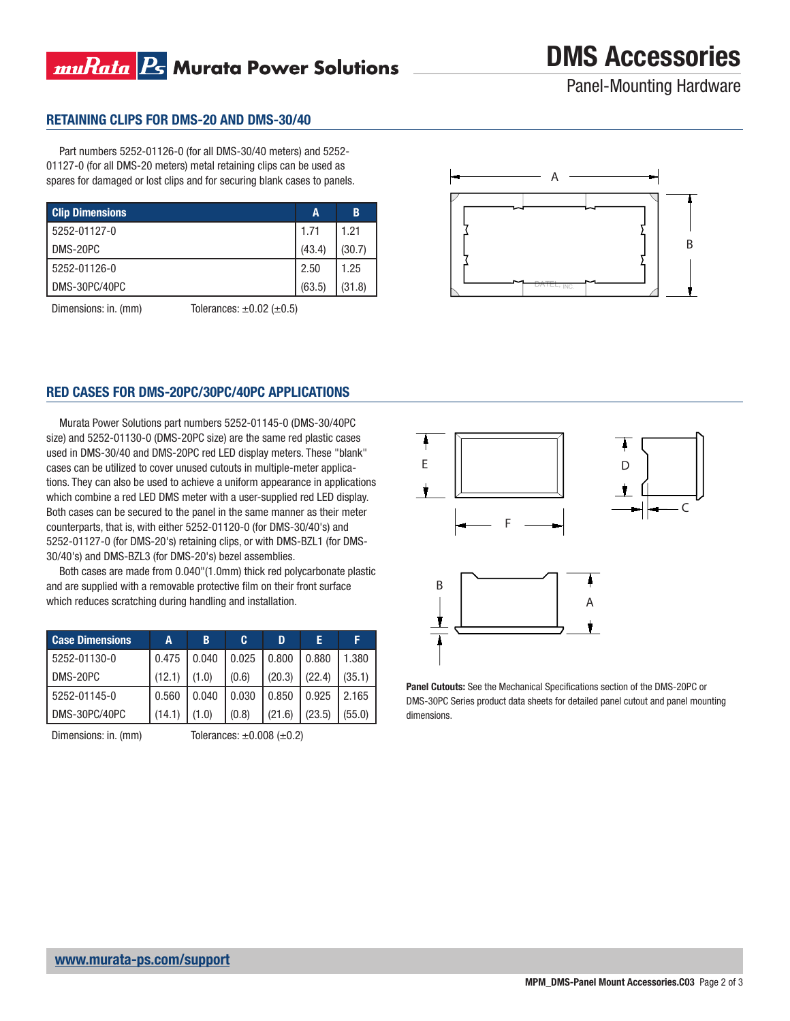## muRata Rs Murata Power Solutions

DMS Accessories

Panel-Mounting Hardware

#### RETAINING CLIPS FOR DMS-20 AND DMS-30/40

Part numbers 5252-01126-0 (for all DMS-30/40 meters) and 5252- 01127-0 (for all DMS-20 meters) metal retaining clips can be used as spares for damaged or lost clips and for securing blank cases to panels.

| <b>Clip Dimensions</b> | A      | B      |
|------------------------|--------|--------|
| 5252-01127-0           | 1.71   | 1.21   |
| l DMS-20PC             | (43.4) | (30.7) |
| 5252-01126-0           | 2.50   | 1.25   |
| DMS-30PC/40PC          | (63.5) | (31.8) |

Dimensions: in. (mm)  $\qquad \qquad$  Tolerances:  $\pm 0.02$  ( $\pm 0.5$ )



#### RED CASES FOR DMS-20PC/30PC/40PC APPLICATIONS

Murata Power Solutions part numbers 5252-01145-0 (DMS-30/40PC size) and 5252-01130-0 (DMS-20PC size) are the same red plastic cases used in DMS-30/40 and DMS-20PC red LED display meters. These "blank" cases can be utilized to cover unused cutouts in multiple-meter applications. They can also be used to achieve a uniform appearance in applications which combine a red LED DMS meter with a user-supplied red LED display. Both cases can be secured to the panel in the same manner as their meter counterparts, that is, with either 5252-01120-0 (for DMS-30/40's) and 5252-01127-0 (for DMS-20's) retaining clips, or with DMS-BZL1 (for DMS-30/40's) and DMS-BZL3 (for DMS-20's) bezel assemblies.

Both cases are made from 0.040"(1.0mm) thick red polycarbonate plastic and are supplied with a removable protective film on their front surface which reduces scratching during handling and installation.

| <b>Case Dimensions</b> | А      | В     | C.    | D      | Е      | F      |
|------------------------|--------|-------|-------|--------|--------|--------|
| 5252-01130-0           | 0.475  | 0.040 | 0.025 | 0.800  | 0.880  | 1.380  |
| DMS-20PC               | (12.1) | (1.0) | (0.6) | (20.3) | (22.4) | (35.1) |
| 5252-01145-0           | 0.560  | 0.040 | 0.030 | 0.850  | 0.925  | 2.165  |
| IDMS-30PC/40PC         | (14.1) | (1.0) | (0.8) | (21.6) | (23.5) | (55.0) |

Dimensions: in. (mm)  $\qquad \qquad$  Tolerances:  $\pm 0.008$  ( $\pm 0.2$ )



Panel Cutouts: See the Mechanical Specifications section of the DMS-20PC or DMS-30PC Series product data sheets for detailed panel cutout and panel mounting dimensions.